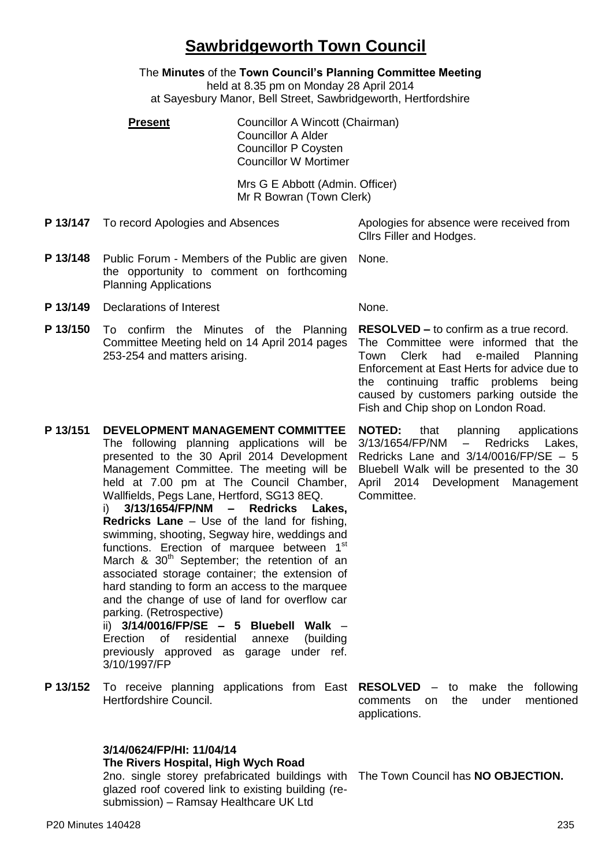# **Sawbridgeworth Town Council**

The **Minutes** of the **Town Council's Planning Committee Meeting**

held at 8.35 pm on Monday 28 April 2014

at Sayesbury Manor, Bell Street, Sawbridgeworth, Hertfordshire

**Present Councillor A Wincott (Chairman)** Councillor A Alder Councillor P Coysten Councillor W Mortimer

> Mrs G E Abbott (Admin. Officer) Mr R Bowran (Town Clerk)

**P 13/147** To record Apologies and Absences Apologies for absence were received from

Cllrs Filler and Hodges.

- **P 13/148** Public Forum Members of the Public are given the opportunity to comment on forthcoming Planning Applications None.
- **P 13/149** Declarations of Interest None.
- **P 13/150** To confirm the Minutes of the Planning Committee Meeting held on 14 April 2014 pages 253-254 and matters arising.

**RESOLVED –** to confirm as a true record.

The Committee were informed that the Town Clerk had e-mailed Planning Enforcement at East Herts for advice due to the continuing traffic problems being caused by customers parking outside the Fish and Chip shop on London Road.

**P 13/151 DEVELOPMENT MANAGEMENT COMMITTEE** The following planning applications will be presented to the 30 April 2014 Development Management Committee. The meeting will be held at 7.00 pm at The Council Chamber, **NOTED:** that planning applications 3/13/1654/FP/NM – Redricks Lakes, Redricks Lane and 3/14/0016/FP/SE – 5 Bluebell Walk will be presented to the 30 April 2014 Development Management Committee.

i) **3/13/1654/FP/NM – Redricks Lakes, Redricks Lane** – Use of the land for fishing, swimming, shooting, Segway hire, weddings and functions. Erection of marquee between 1<sup>st</sup> March  $\&$  30<sup>th</sup> September: the retention of an associated storage container; the extension of hard standing to form an access to the marquee and the change of use of land for overflow car parking. (Retrospective) ii) **3/14/0016/FP/SE – 5 Bluebell Walk** – Erection of residential annexe (building

Wallfields, Pegs Lane, Hertford, SG13 8EQ.

previously approved as garage under ref. 3/10/1997/FP

**P 13/152** To receive planning applications from East **RESOLVED** – to make the following Hertfordshire Council.

**3/14/0624/FP/HI: 11/04/14**

**The Rivers Hospital, High Wych Road**

2no. single storey prefabricated buildings with The Town Council has **NO OBJECTION.**glazed roof covered link to existing building (resubmission) – Ramsay Healthcare UK Ltd

comments on the under mentioned applications.